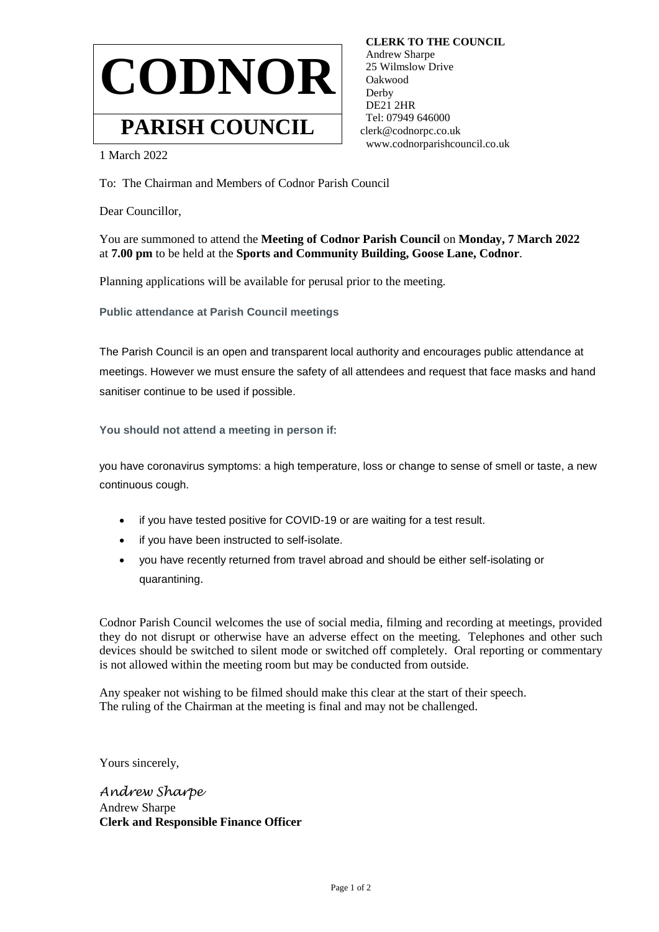

 **CLERK TO THE COUNCIL** Andrew Sharpe 25 Wilmslow Drive Oakwood Derby DE21 2HR Tel: 07949 646000 clerk@codnorpc.co.uk www.codnorparishcouncil.co.uk

1 March 2022

To: The Chairman and Members of Codnor Parish Council

Dear Councillor,

You are summoned to attend the **Meeting of Codnor Parish Council** on **Monday, 7 March 2022**  at **7.00 pm** to be held at the **Sports and Community Building, Goose Lane, Codnor**.

Planning applications will be available for perusal prior to the meeting.

**Public attendance at Parish Council meetings**

The Parish Council is an open and transparent local authority and encourages public attendance at meetings. However we must ensure the safety of all attendees and request that face masks and hand sanitiser continue to be used if possible.

**You should not attend a meeting in person if:**

you have coronavirus symptoms: a high temperature, loss or change to sense of smell or taste, a new continuous cough.

- if you have tested positive for COVID-19 or are waiting for a test result.
- if you have been instructed to self-isolate.
- you have recently returned from travel abroad and should be either self-isolating or quarantining.

Codnor Parish Council welcomes the use of social media, filming and recording at meetings, provided they do not disrupt or otherwise have an adverse effect on the meeting. Telephones and other such devices should be switched to silent mode or switched off completely. Oral reporting or commentary is not allowed within the meeting room but may be conducted from outside.

Any speaker not wishing to be filmed should make this clear at the start of their speech. The ruling of the Chairman at the meeting is final and may not be challenged.

Yours sincerely,

*Andrew Sharpe* Andrew Sharpe **Clerk and Responsible Finance Officer**